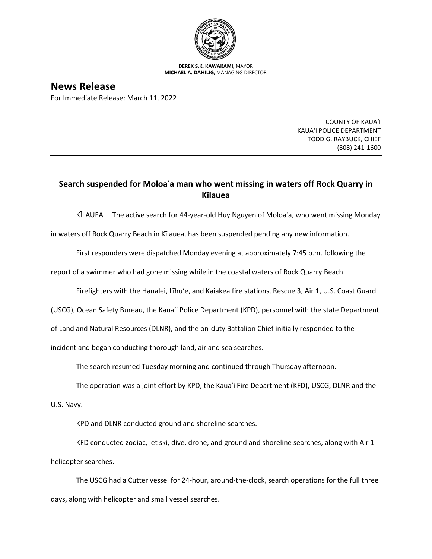

**DEREK S.K. KAWAKAMI,** MAYOR **MICHAEL A. DAHILIG,** MANAGING DIRECTOR

**News Release** For Immediate Release: March 11, 2022

> COUNTY OF KAUA'I KAUA'I POLICE DEPARTMENT TODD G. RAYBUCK, CHIEF (808) 241-1600

## **Search suspended for Moloaʿa man who went missing in waters off Rock Quarry in Kīlauea**

KĪLAUEA – The active search for 44-year-old Huy Nguyen of Moloaʿa, who went missing Monday

in waters off Rock Quarry Beach in Kīlauea, has been suspended pending any new information.

First responders were dispatched Monday evening at approximately 7:45 p.m. following the

report of a swimmer who had gone missing while in the coastal waters of Rock Quarry Beach.

Firefighters with the Hanalei, Līhu'e, and Kaiakea fire stations, Rescue 3, Air 1, U.S. Coast Guard

(USCG), Ocean Safety Bureau, the Kaua'i Police Department (KPD), personnel with the state Department

of Land and Natural Resources (DLNR), and the on-duty Battalion Chief initially responded to the

incident and began conducting thorough land, air and sea searches.

The search resumed Tuesday morning and continued through Thursday afternoon.

The operation was a joint effort by KPD, the Kaua'i Fire Department (KFD), USCG, DLNR and the

U.S. Navy.

KPD and DLNR conducted ground and shoreline searches.

KFD conducted zodiac, jet ski, dive, drone, and ground and shoreline searches, along with Air 1 helicopter searches.

The USCG had a Cutter vessel for 24-hour, around-the-clock, search operations for the full three days, along with helicopter and small vessel searches.